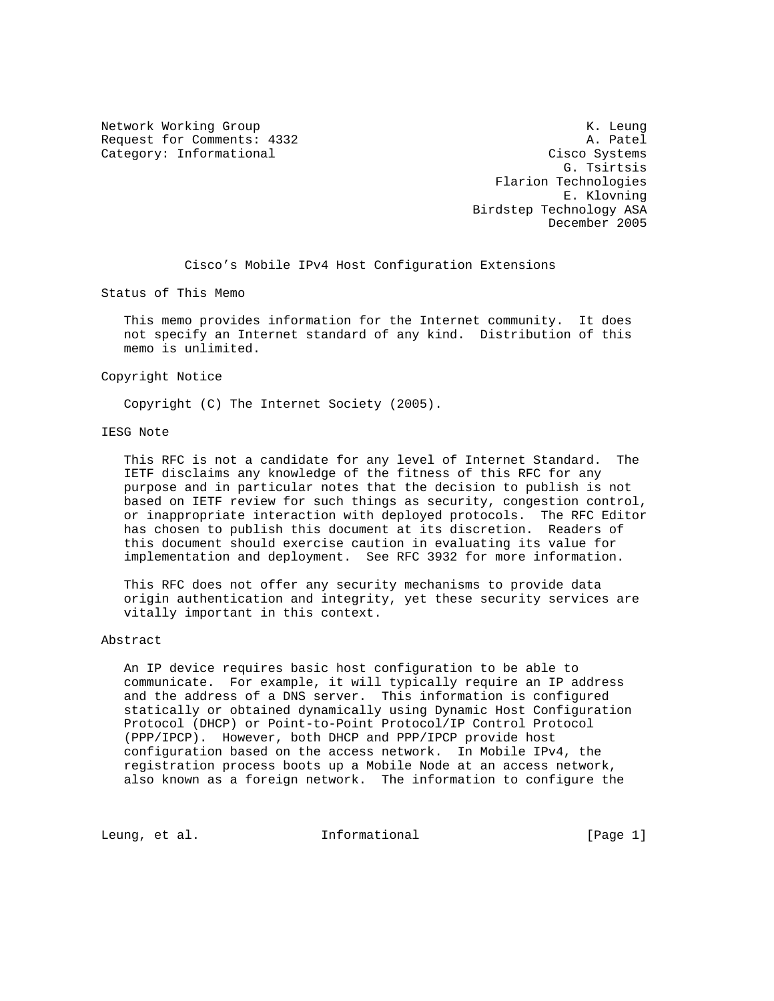Network Working Group Network Working Group Network Alexander Management Alexander Management Alexander Management Alexander Management Alexander Management Alexander Management Alexander Management Alexander Management Al Request for Comments: 4332 A. Patel Category: Informational Cisco Systems

 G. Tsirtsis Flarion Technologies E. Klovning Birdstep Technology ASA December 2005

Cisco's Mobile IPv4 Host Configuration Extensions

Status of This Memo

 This memo provides information for the Internet community. It does not specify an Internet standard of any kind. Distribution of this memo is unlimited.

Copyright Notice

Copyright (C) The Internet Society (2005).

## IESG Note

 This RFC is not a candidate for any level of Internet Standard. The IETF disclaims any knowledge of the fitness of this RFC for any purpose and in particular notes that the decision to publish is not based on IETF review for such things as security, congestion control, or inappropriate interaction with deployed protocols. The RFC Editor has chosen to publish this document at its discretion. Readers of this document should exercise caution in evaluating its value for implementation and deployment. See RFC 3932 for more information.

 This RFC does not offer any security mechanisms to provide data origin authentication and integrity, yet these security services are vitally important in this context.

## Abstract

 An IP device requires basic host configuration to be able to communicate. For example, it will typically require an IP address and the address of a DNS server. This information is configured statically or obtained dynamically using Dynamic Host Configuration Protocol (DHCP) or Point-to-Point Protocol/IP Control Protocol (PPP/IPCP). However, both DHCP and PPP/IPCP provide host configuration based on the access network. In Mobile IPv4, the registration process boots up a Mobile Node at an access network, also known as a foreign network. The information to configure the

Leung, et al.  $I_n$  Informational [Page 1]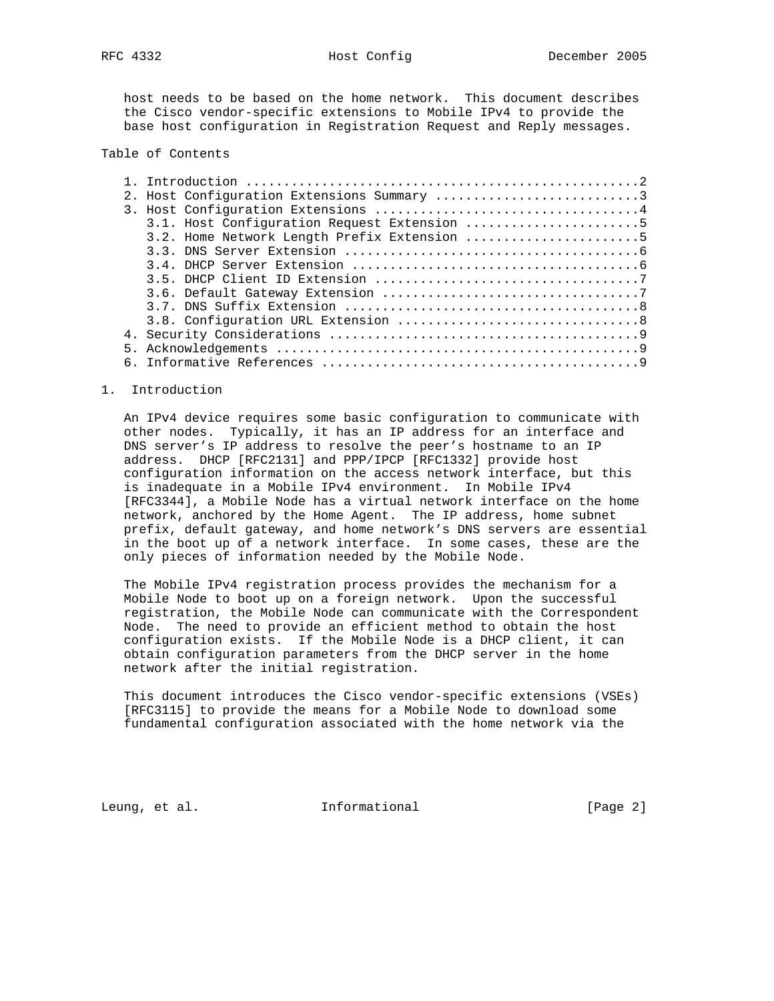host needs to be based on the home network. This document describes the Cisco vendor-specific extensions to Mobile IPv4 to provide the base host configuration in Registration Request and Reply messages.

## Table of Contents

|  | 2. Host Configuration Extensions Summary 3  |
|--|---------------------------------------------|
|  |                                             |
|  | 3.1. Host Configuration Request Extension 5 |
|  | 3.2. Home Network Length Prefix Extension 5 |
|  |                                             |
|  |                                             |
|  |                                             |
|  |                                             |
|  |                                             |
|  |                                             |
|  |                                             |
|  |                                             |
|  |                                             |

#### 1. Introduction

 An IPv4 device requires some basic configuration to communicate with other nodes. Typically, it has an IP address for an interface and DNS server's IP address to resolve the peer's hostname to an IP address. DHCP [RFC2131] and PPP/IPCP [RFC1332] provide host configuration information on the access network interface, but this is inadequate in a Mobile IPv4 environment. In Mobile IPv4 [RFC3344], a Mobile Node has a virtual network interface on the home network, anchored by the Home Agent. The IP address, home subnet prefix, default gateway, and home network's DNS servers are essential in the boot up of a network interface. In some cases, these are the only pieces of information needed by the Mobile Node.

 The Mobile IPv4 registration process provides the mechanism for a Mobile Node to boot up on a foreign network. Upon the successful registration, the Mobile Node can communicate with the Correspondent Node. The need to provide an efficient method to obtain the host configuration exists. If the Mobile Node is a DHCP client, it can obtain configuration parameters from the DHCP server in the home network after the initial registration.

 This document introduces the Cisco vendor-specific extensions (VSEs) [RFC3115] to provide the means for a Mobile Node to download some fundamental configuration associated with the home network via the

Leung, et al. **Informational** [Page 2]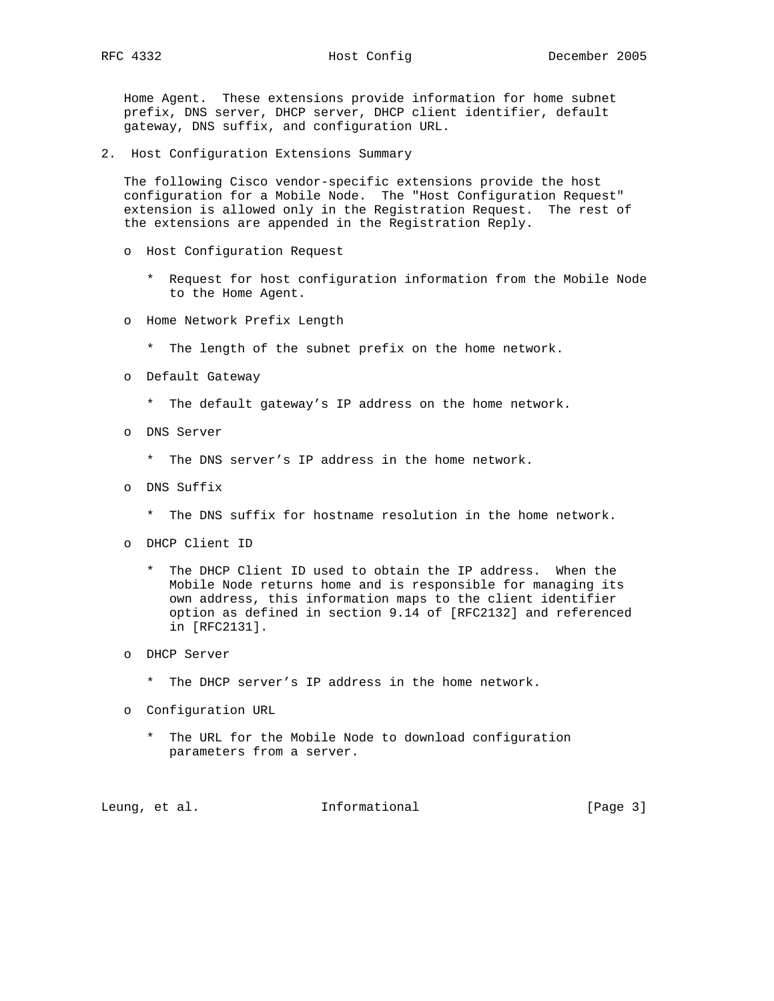Home Agent. These extensions provide information for home subnet prefix, DNS server, DHCP server, DHCP client identifier, default gateway, DNS suffix, and configuration URL.

2. Host Configuration Extensions Summary

 The following Cisco vendor-specific extensions provide the host configuration for a Mobile Node. The "Host Configuration Request" extension is allowed only in the Registration Request. The rest of the extensions are appended in the Registration Reply.

- o Host Configuration Request
	- \* Request for host configuration information from the Mobile Node to the Home Agent.
- o Home Network Prefix Length
	- \* The length of the subnet prefix on the home network.
- o Default Gateway
	- \* The default gateway's IP address on the home network.
- o DNS Server
	- \* The DNS server's IP address in the home network.
- o DNS Suffix
	- \* The DNS suffix for hostname resolution in the home network.
- o DHCP Client ID
	- \* The DHCP Client ID used to obtain the IP address. When the Mobile Node returns home and is responsible for managing its own address, this information maps to the client identifier option as defined in section 9.14 of [RFC2132] and referenced in [RFC2131].
- o DHCP Server
	- \* The DHCP server's IP address in the home network.
- o Configuration URL
	- \* The URL for the Mobile Node to download configuration parameters from a server.

Leung, et al. **Informational** [Page 3]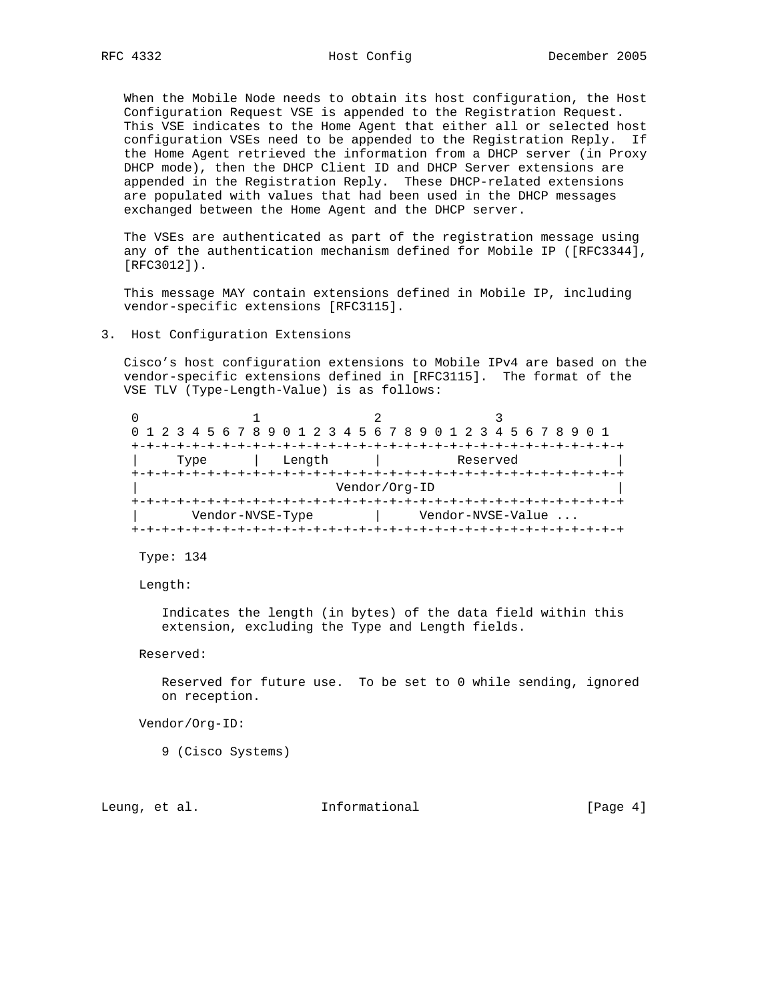When the Mobile Node needs to obtain its host configuration, the Host Configuration Request VSE is appended to the Registration Request. This VSE indicates to the Home Agent that either all or selected host configuration VSEs need to be appended to the Registration Reply. If the Home Agent retrieved the information from a DHCP server (in Proxy DHCP mode), then the DHCP Client ID and DHCP Server extensions are appended in the Registration Reply. These DHCP-related extensions are populated with values that had been used in the DHCP messages exchanged between the Home Agent and the DHCP server.

 The VSEs are authenticated as part of the registration message using any of the authentication mechanism defined for Mobile IP ([RFC3344], [RFC3012]).

 This message MAY contain extensions defined in Mobile IP, including vendor-specific extensions [RFC3115].

 Cisco's host configuration extensions to Mobile IPv4 are based on the vendor-specific extensions defined in [RFC3115]. The format of the VSE TLV (Type-Length-Value) is as follows:

 $0$  1 2 3 0 1 2 3 4 5 6 7 8 9 0 1 2 3 4 5 6 7 8 9 0 1 2 3 4 5 6 7 8 9 0 1 +-+-+-+-+-+-+-+-+-+-+-+-+-+-+-+-+-+-+-+-+-+-+-+-+-+-+-+-+-+-+-+-+ Type | Length | Reserved +-+-+-+-+-+-+-+-+-+-+-+-+-+-+-+-+-+-+-+-+-+-+-+-+-+-+-+-+-+-+-+-+ | Vendor/Org-ID | +-+-+-+-+-+-+-+-+-+-+-+-+-+-+-+-+-+-+-+-+-+-+-+-+-+-+-+-+-+-+-+-+ | Vendor-NVSE-Type | Vendor-NVSE-Value ... +-+-+-+-+-+-+-+-+-+-+-+-+-+-+-+-+-+-+-+-+-+-+-+-+-+-+-+-+-+-+-+-+

Type: 134

Length:

 Indicates the length (in bytes) of the data field within this extension, excluding the Type and Length fields.

Reserved:

 Reserved for future use. To be set to 0 while sending, ignored on reception.

Vendor/Org-ID:

9 (Cisco Systems)

Leung, et al. 1nformational 1999 [Page 4]

<sup>3.</sup> Host Configuration Extensions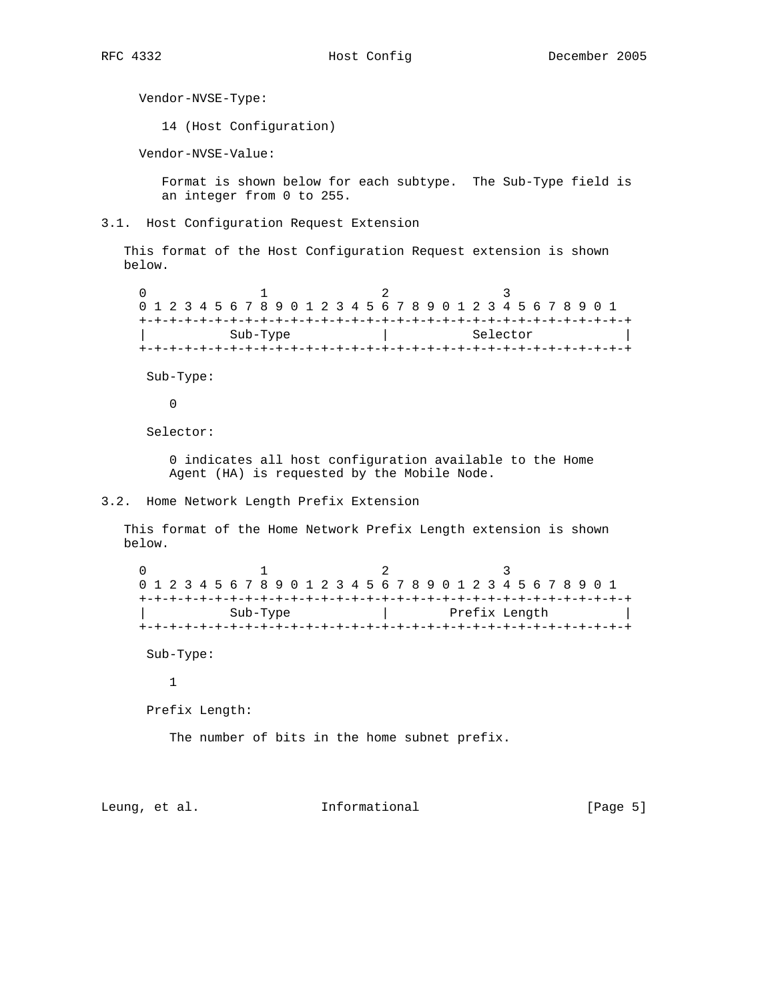Vendor-NVSE-Type:

14 (Host Configuration)

Vendor-NVSE-Value:

 Format is shown below for each subtype. The Sub-Type field is an integer from 0 to 255.

3.1. Host Configuration Request Extension

 This format of the Host Configuration Request extension is shown below.

 $0$  1 2 3 0 1 2 3 4 5 6 7 8 9 0 1 2 3 4 5 6 7 8 9 0 1 2 3 4 5 6 7 8 9 0 1 +-+-+-+-+-+-+-+-+-+-+-+-+-+-+-+-+-+-+-+-+-+-+-+-+-+-+-+-+-+-+-+-+ | Sub-Type | Selector | +-+-+-+-+-+-+-+-+-+-+-+-+-+-+-+-+-+-+-+-+-+-+-+-+-+-+-+-+-+-+-+-+

Sub-Type:

0

Selector:

 0 indicates all host configuration available to the Home Agent (HA) is requested by the Mobile Node.

3.2. Home Network Length Prefix Extension

 This format of the Home Network Prefix Length extension is shown below.

 $0$  1 2 3 0 1 2 3 4 5 6 7 8 9 0 1 2 3 4 5 6 7 8 9 0 1 2 3 4 5 6 7 8 9 0 1 +-+-+-+-+-+-+-+-+-+-+-+-+-+-+-+-+-+-+-+-+-+-+-+-+-+-+-+-+-+-+-+-+ | Sub-Type | Prefix Length | +-+-+-+-+-+-+-+-+-+-+-+-+-+-+-+-+-+-+-+-+-+-+-+-+-+-+-+-+-+-+-+-+

Sub-Type:

1

Prefix Length:

The number of bits in the home subnet prefix.

Leung, et al. 1nformational 1999 [Page 5]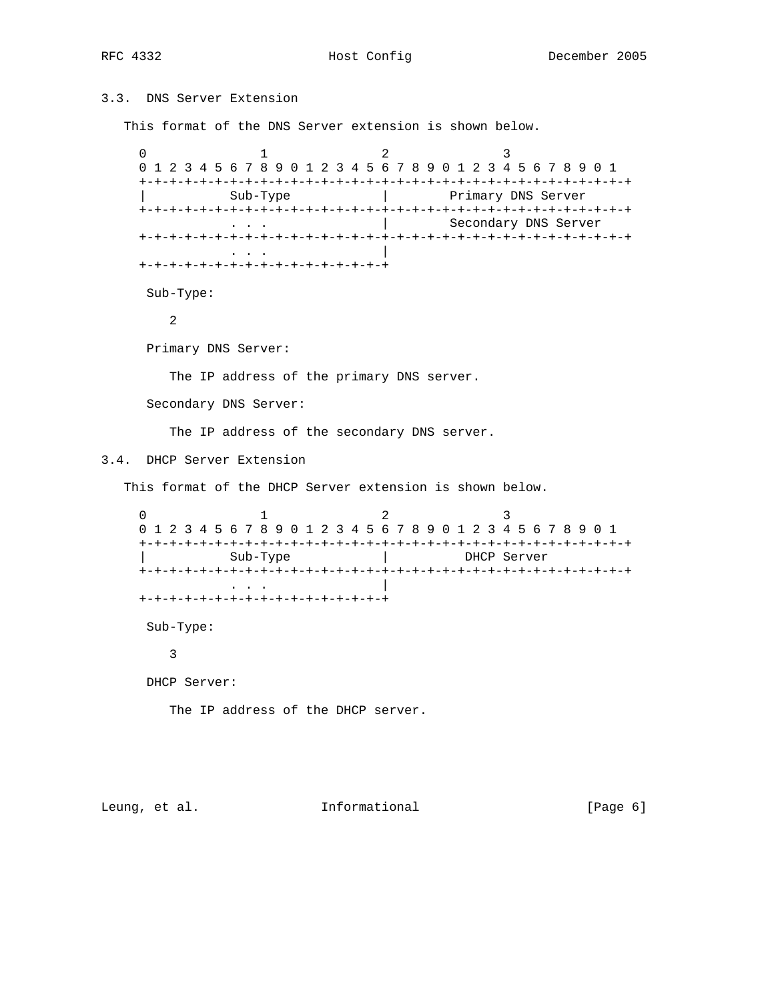# 3.3. DNS Server Extension

This format of the DNS Server extension is shown below.

 $0$  1 2 3 0 1 2 3 4 5 6 7 8 9 0 1 2 3 4 5 6 7 8 9 0 1 2 3 4 5 6 7 8 9 0 1 +-+-+-+-+-+-+-+-+-+-+-+-+-+-+-+-+-+-+-+-+-+-+-+-+-+-+-+-+-+-+-+-+ | Sub-Type | Primary DNS Server +-+-+-+-+-+-+-+-+-+-+-+-+-+-+-+-+-+-+-+-+-+-+-+-+-+-+-+-+-+-+-+-+ | Secondary DNS Server +-+-+-+-+-+-+-+-+-+-+-+-+-+-+-+-+-+-+-+-+-+-+-+-+-+-+-+-+-+-+-+-+ . . . | +-+-+-+-+-+-+-+-+-+-+-+-+-+-+-+-+ Sub-Type: 2 Primary DNS Server: The IP address of the primary DNS server. Secondary DNS Server: The IP address of the secondary DNS server. 3.4. DHCP Server Extension This format of the DHCP Server extension is shown below.  $0$  1 2 3 0 1 2 3 4 5 6 7 8 9 0 1 2 3 4 5 6 7 8 9 0 1 2 3 4 5 6 7 8 9 0 1 +-+-+-+-+-+-+-+-+-+-+-+-+-+-+-+-+-+-+-+-+-+-+-+-+-+-+-+-+-+-+-+-+ | Sub-Type | DHCP Server +-+-+-+-+-+-+-+-+-+-+-+-+-+-+-+-+-+-+-+-+-+-+-+-+-+-+-+-+-+-+-+-+ . . . | +-+-+-+-+-+-+-+-+-+-+-+-+-+-+-+-+ Sub-Type: 3 DHCP Server: The IP address of the DHCP server.

Leung, et al. 10 Informational 10 [Page 6]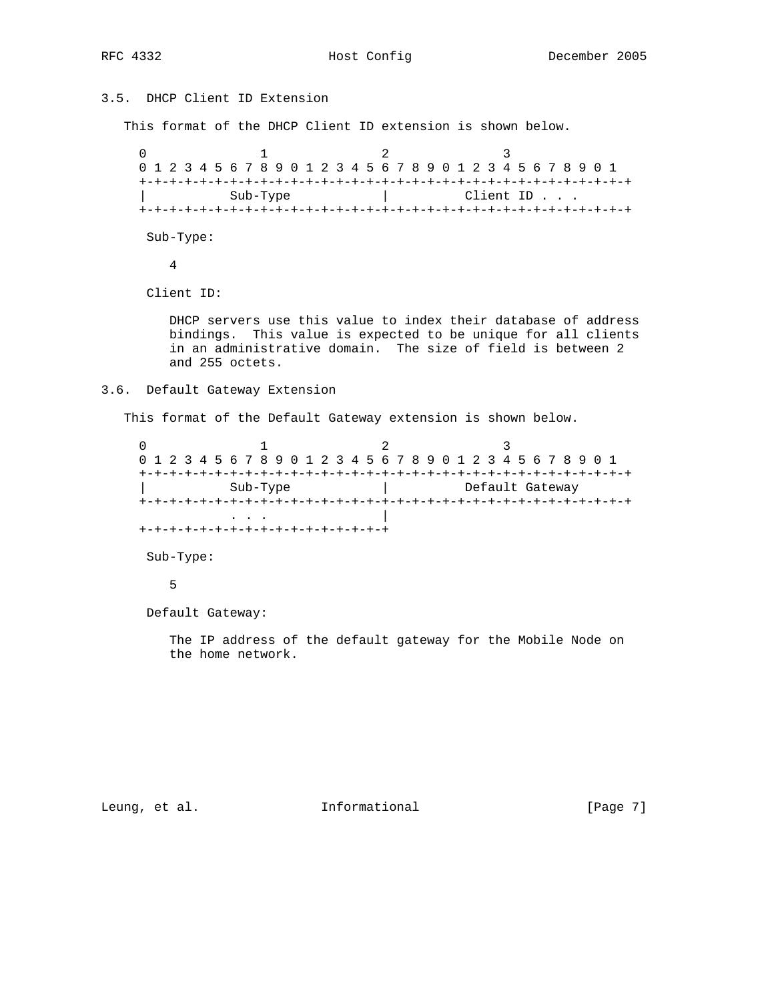# 3.5. DHCP Client ID Extension

This format of the DHCP Client ID extension is shown below.

 $0$  1 2 3 0 1 2 3 4 5 6 7 8 9 0 1 2 3 4 5 6 7 8 9 0 1 2 3 4 5 6 7 8 9 0 1 +-+-+-+-+-+-+-+-+-+-+-+-+-+-+-+-+-+-+-+-+-+-+-+-+-+-+-+-+-+-+-+-+ | Sub-Type | Client ID . . . +-+-+-+-+-+-+-+-+-+-+-+-+-+-+-+-+-+-+-+-+-+-+-+-+-+-+-+-+-+-+-+-+

Sub-Type:

4

Client ID:

 DHCP servers use this value to index their database of address bindings. This value is expected to be unique for all clients in an administrative domain. The size of field is between 2 and 255 octets.

#### 3.6. Default Gateway Extension

This format of the Default Gateway extension is shown below.

 $0$  1 2 3 0 1 2 3 4 5 6 7 8 9 0 1 2 3 4 5 6 7 8 9 0 1 2 3 4 5 6 7 8 9 0 1 +-+-+-+-+-+-+-+-+-+-+-+-+-+-+-+-+-+-+-+-+-+-+-+-+-+-+-+-+-+-+-+-+ | Sub-Type | Default Gateway +-+-+-+-+-+-+-+-+-+-+-+-+-+-+-+-+-+-+-+-+-+-+-+-+-+-+-+-+-+-+-+-+ . . . | +-+-+-+-+-+-+-+-+-+-+-+-+-+-+-+-+

Sub-Type:

5

Default Gateway:

 The IP address of the default gateway for the Mobile Node on the home network.

Leung, et al. 1nformational 1999 [Page 7]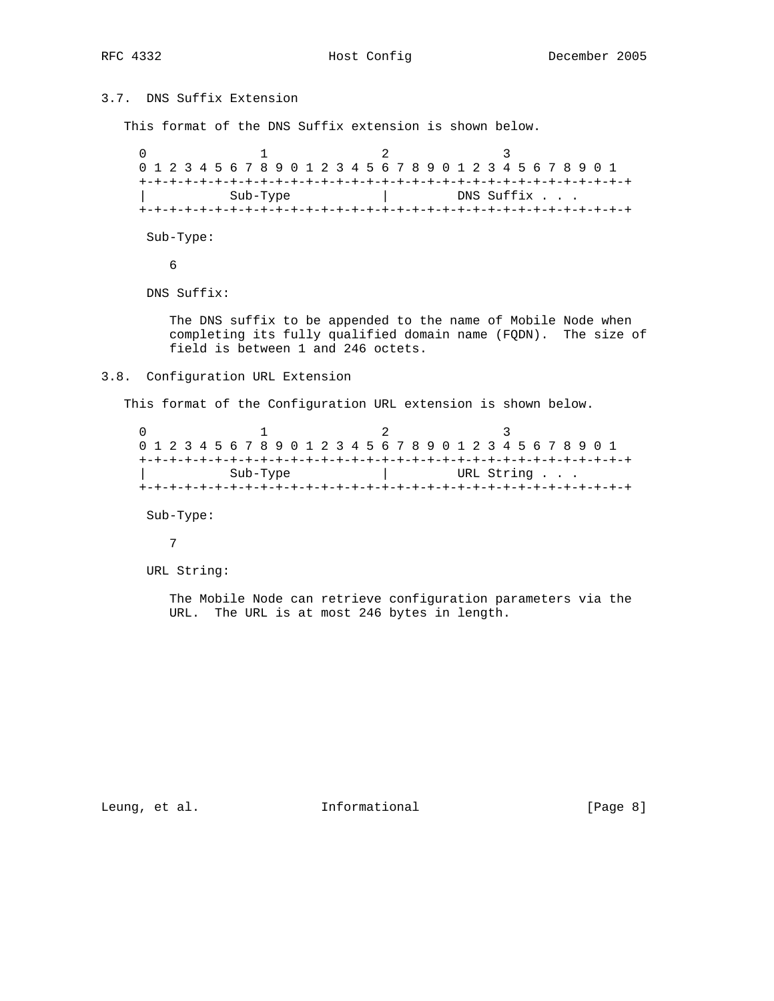## 3.7. DNS Suffix Extension

This format of the DNS Suffix extension is shown below.

 $0$  1 2 3 0 1 2 3 4 5 6 7 8 9 0 1 2 3 4 5 6 7 8 9 0 1 2 3 4 5 6 7 8 9 0 1 +-+-+-+-+-+-+-+-+-+-+-+-+-+-+-+-+-+-+-+-+-+-+-+-+-+-+-+-+-+-+-+-+ | Sub-Type | DNS Suffix . . . +-+-+-+-+-+-+-+-+-+-+-+-+-+-+-+-+-+-+-+-+-+-+-+-+-+-+-+-+-+-+-+-+

Sub-Type:

6

DNS Suffix:

 The DNS suffix to be appended to the name of Mobile Node when completing its fully qualified domain name (FQDN). The size of field is between 1 and 246 octets.

### 3.8. Configuration URL Extension

This format of the Configuration URL extension is shown below.

|          |  |  |  |  |  |  |  |  |  |  |  |  |            |  |  |  |  |  |  |  |  |  |  |  |  |  |  |  | 0 1 2 3 4 5 6 7 8 9 0 1 2 3 4 5 6 7 8 9 0 1 2 3 4 5 6 7 8 9 0 1 |  |
|----------|--|--|--|--|--|--|--|--|--|--|--|--|------------|--|--|--|--|--|--|--|--|--|--|--|--|--|--|--|-----------------------------------------------------------------|--|
|          |  |  |  |  |  |  |  |  |  |  |  |  |            |  |  |  |  |  |  |  |  |  |  |  |  |  |  |  |                                                                 |  |
| Sub-Type |  |  |  |  |  |  |  |  |  |  |  |  | URL String |  |  |  |  |  |  |  |  |  |  |  |  |  |  |  |                                                                 |  |
|          |  |  |  |  |  |  |  |  |  |  |  |  |            |  |  |  |  |  |  |  |  |  |  |  |  |  |  |  |                                                                 |  |

Sub-Type:

7

URL String:

 The Mobile Node can retrieve configuration parameters via the URL. The URL is at most 246 bytes in length.

Leung, et al. 1nformational 1999 [Page 8]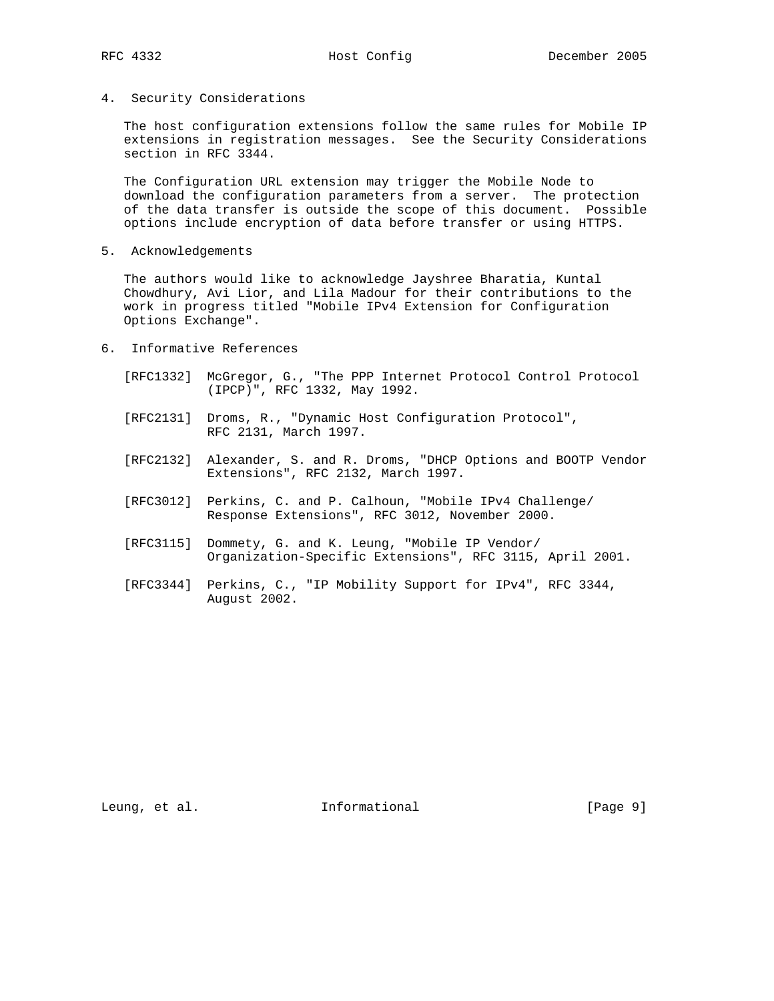4. Security Considerations

 The host configuration extensions follow the same rules for Mobile IP extensions in registration messages. See the Security Considerations section in RFC 3344.

 The Configuration URL extension may trigger the Mobile Node to download the configuration parameters from a server. The protection of the data transfer is outside the scope of this document. Possible options include encryption of data before transfer or using HTTPS.

5. Acknowledgements

 The authors would like to acknowledge Jayshree Bharatia, Kuntal Chowdhury, Avi Lior, and Lila Madour for their contributions to the work in progress titled "Mobile IPv4 Extension for Configuration Options Exchange".

- 6. Informative References
	- [RFC1332] McGregor, G., "The PPP Internet Protocol Control Protocol (IPCP)", RFC 1332, May 1992.
	- [RFC2131] Droms, R., "Dynamic Host Configuration Protocol", RFC 2131, March 1997.
	- [RFC2132] Alexander, S. and R. Droms, "DHCP Options and BOOTP Vendor Extensions", RFC 2132, March 1997.
	- [RFC3012] Perkins, C. and P. Calhoun, "Mobile IPv4 Challenge/ Response Extensions", RFC 3012, November 2000.
	- [RFC3115] Dommety, G. and K. Leung, "Mobile IP Vendor/ Organization-Specific Extensions", RFC 3115, April 2001.
	- [RFC3344] Perkins, C., "IP Mobility Support for IPv4", RFC 3344, August 2002.

Leung, et al. 1nformational 1999 [Page 9]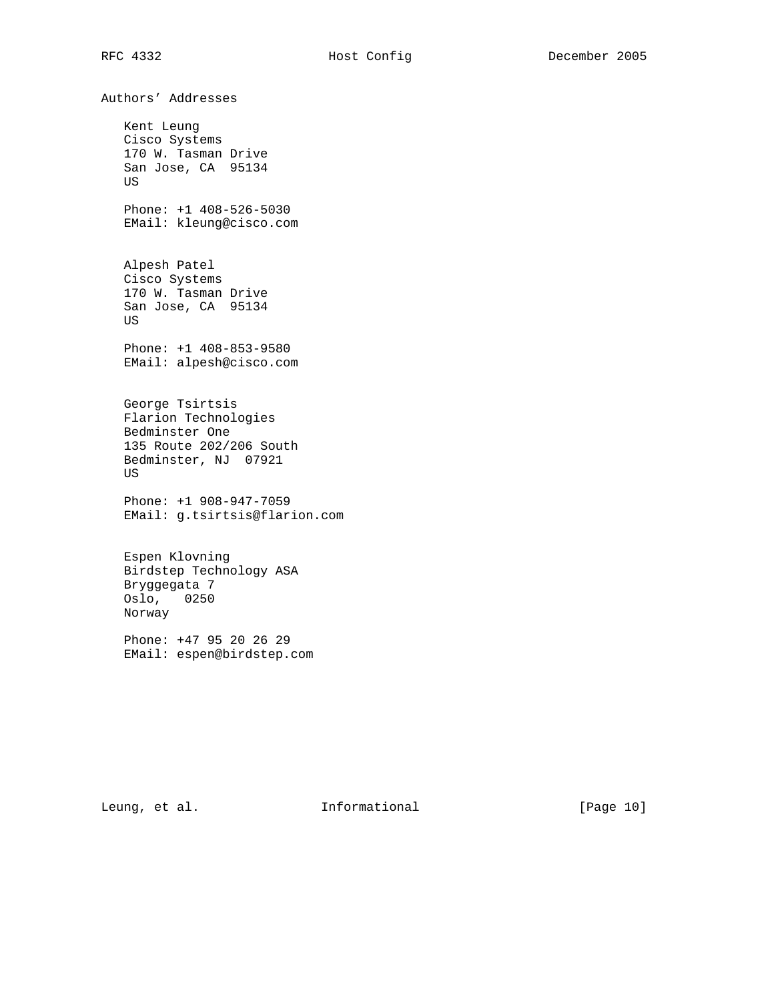Authors' Addresses Kent Leung Cisco Systems 170 W. Tasman Drive San Jose, CA 95134 US Phone: +1 408-526-5030 EMail: kleung@cisco.com Alpesh Patel Cisco Systems 170 W. Tasman Drive San Jose, CA 95134 US Phone: +1 408-853-9580 EMail: alpesh@cisco.com George Tsirtsis Flarion Technologies Bedminster One 135 Route 202/206 South Bedminster, NJ 07921 US Phone: +1 908-947-7059 EMail: g.tsirtsis@flarion.com Espen Klovning Birdstep Technology ASA Bryggegata 7 Oslo, 0250 Norway Phone: +47 95 20 26 29

EMail: espen@birdstep.com

Leung, et al. 10 Informational 10 [Page 10]